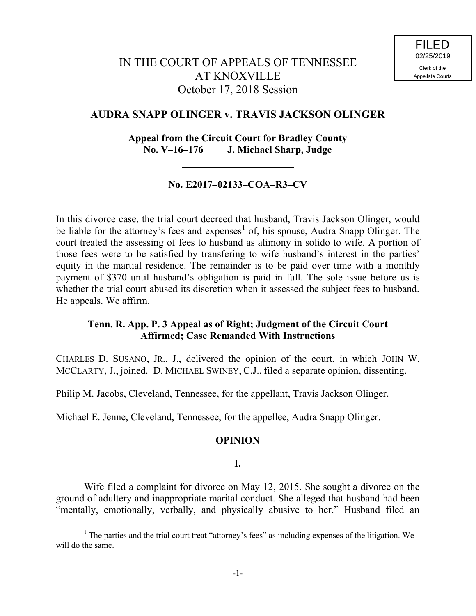# IN THE COURT OF APPEALS OF TENNESSEE AT KNOXVILLE October 17, 2018 Session

## **AUDRA SNAPP OLINGER v. TRAVIS JACKSON OLINGER**

## **Appeal from the Circuit Court for Bradley County No. V–16–176 J. Michael Sharp, Judge**

### **No. E2017–02133–COA–R3–CV**

In this divorce case, the trial court decreed that husband, Travis Jackson Olinger, would be liable for the attorney's fees and expenses<sup>1</sup> of, his spouse, Audra Snapp Olinger. The court treated the assessing of fees to husband as alimony in solido to wife. A portion of those fees were to be satisfied by transfering to wife husband's interest in the parties' equity in the martial residence. The remainder is to be paid over time with a monthly payment of \$370 until husband's obligation is paid in full. The sole issue before us is whether the trial court abused its discretion when it assessed the subject fees to husband. He appeals. We affirm.

### **Tenn. R. App. P. 3 Appeal as of Right; Judgment of the Circuit Court Affirmed; Case Remanded With Instructions**

CHARLES D. SUSANO, JR., J., delivered the opinion of the court, in which JOHN W. MCCLARTY, J., joined. D. MICHAEL SWINEY, C.J., filed a separate opinion, dissenting.

Philip M. Jacobs, Cleveland, Tennessee, for the appellant, Travis Jackson Olinger.

Michael E. Jenne, Cleveland, Tennessee, for the appellee, Audra Snapp Olinger.

### **OPINION**

# **I.**

Wife filed a complaint for divorce on May 12, 2015. She sought a divorce on the ground of adultery and inappropriate marital conduct. She alleged that husband had been "mentally, emotionally, verbally, and physically abusive to her." Husband filed an

l

<sup>&</sup>lt;sup>1</sup> The parties and the trial court treat "attorney's fees" as including expenses of the litigation. We will do the same.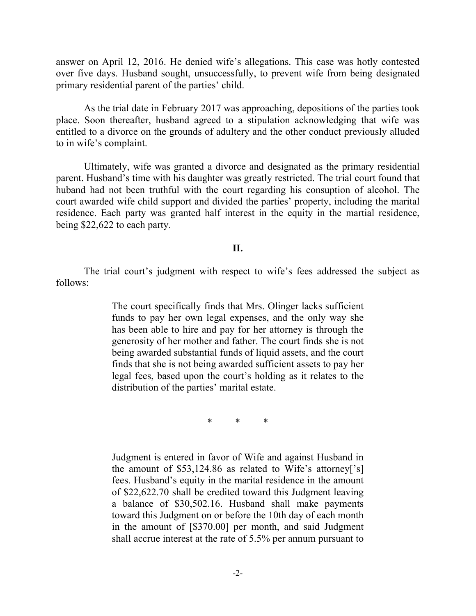answer on April 12, 2016. He denied wife's allegations. This case was hotly contested over five days. Husband sought, unsuccessfully, to prevent wife from being designated primary residential parent of the parties' child.

As the trial date in February 2017 was approaching, depositions of the parties took place. Soon thereafter, husband agreed to a stipulation acknowledging that wife was entitled to a divorce on the grounds of adultery and the other conduct previously alluded to in wife's complaint.

Ultimately, wife was granted a divorce and designated as the primary residential parent. Husband's time with his daughter was greatly restricted. The trial court found that huband had not been truthful with the court regarding his consuption of alcohol. The court awarded wife child support and divided the parties' property, including the marital residence. Each party was granted half interest in the equity in the martial residence, being \$22,622 to each party.

#### **II.**

The trial court's judgment with respect to wife's fees addressed the subject as follows:

> The court specifically finds that Mrs. Olinger lacks sufficient funds to pay her own legal expenses, and the only way she has been able to hire and pay for her attorney is through the generosity of her mother and father. The court finds she is not being awarded substantial funds of liquid assets, and the court finds that she is not being awarded sufficient assets to pay her legal fees, based upon the court's holding as it relates to the distribution of the parties' marital estate.

> > \* \* \*

Judgment is entered in favor of Wife and against Husband in the amount of \$53,124.86 as related to Wife's attorney['s] fees. Husband's equity in the marital residence in the amount of \$22,622.70 shall be credited toward this Judgment leaving a balance of \$30,502.16. Husband shall make payments toward this Judgment on or before the 10th day of each month in the amount of [\$370.00] per month, and said Judgment shall accrue interest at the rate of 5.5% per annum pursuant to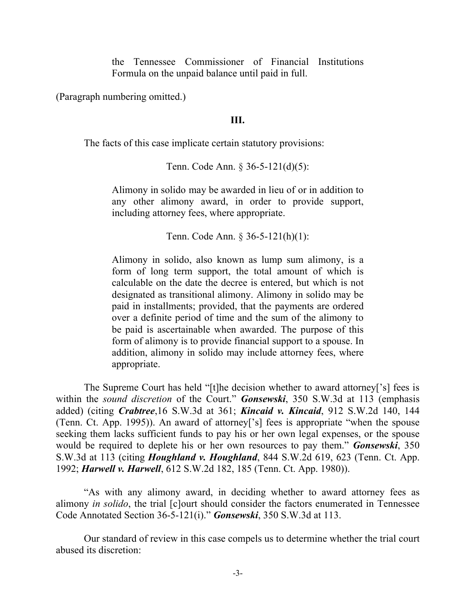the Tennessee Commissioner of Financial Institutions Formula on the unpaid balance until paid in full.

(Paragraph numbering omitted.)

### **III.**

The facts of this case implicate certain statutory provisions:

Tenn. Code Ann. § 36-5-121(d)(5):

Alimony in solido may be awarded in lieu of or in addition to any other alimony award, in order to provide support, including attorney fees, where appropriate.

Tenn. Code Ann. § 36-5-121(h)(1):

Alimony in solido, also known as lump sum alimony, is a form of long term support, the total amount of which is calculable on the date the decree is entered, but which is not designated as transitional alimony. Alimony in solido may be paid in installments; provided, that the payments are ordered over a definite period of time and the sum of the alimony to be paid is ascertainable when awarded. The purpose of this form of alimony is to provide financial support to a spouse. In addition, alimony in solido may include attorney fees, where appropriate.

The Supreme Court has held "[t]he decision whether to award attorney['s] fees is within the *sound discretion* of the Court." *Gonsewski*, 350 S.W.3d at 113 (emphasis added) (citing *Crabtree*,16 S.W.3d at 361; *Kincaid v. Kincaid*, 912 S.W.2d 140, 144 (Tenn. Ct. App. 1995)). An award of attorney['s] fees is appropriate "when the spouse seeking them lacks sufficient funds to pay his or her own legal expenses, or the spouse would be required to deplete his or her own resources to pay them." *Gonsewski*, 350 S.W.3d at 113 (citing *Houghland v. Houghland*, 844 S.W.2d 619, 623 (Tenn. Ct. App. 1992; *Harwell v. Harwell*, 612 S.W.2d 182, 185 (Tenn. Ct. App. 1980)).

"As with any alimony award, in deciding whether to award attorney fees as alimony *in solido*, the trial [c]ourt should consider the factors enumerated in Tennessee Code Annotated Section 36-5-121(i)." *Gonsewski*, 350 S.W.3d at 113.

Our standard of review in this case compels us to determine whether the trial court abused its discretion: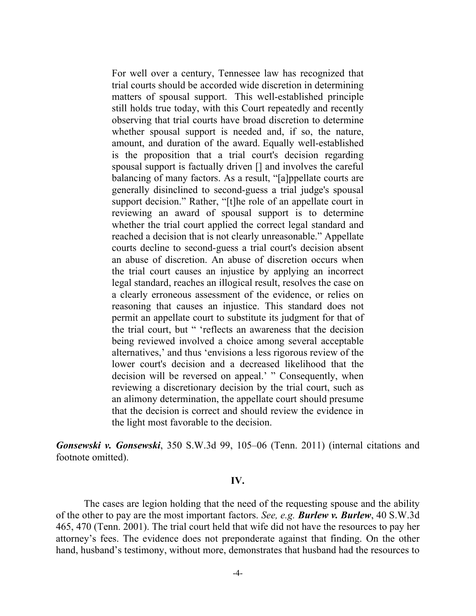For well over a century, Tennessee law has recognized that trial courts should be accorded wide discretion in determining matters of spousal support. This well-established principle still holds true today, with this Court repeatedly and recently observing that trial courts have broad discretion to determine whether spousal support is needed and, if so, the nature, amount, and duration of the award. Equally well-established is the proposition that a trial court's decision regarding spousal support is factually driven [] and involves the careful balancing of many factors. As a result, "[a]ppellate courts are generally disinclined to second-guess a trial judge's spousal support decision." Rather, "[t]he role of an appellate court in reviewing an award of spousal support is to determine whether the trial court applied the correct legal standard and reached a decision that is not clearly unreasonable." Appellate courts decline to second-guess a trial court's decision absent an abuse of discretion. An abuse of discretion occurs when the trial court causes an injustice by applying an incorrect legal standard, reaches an illogical result, resolves the case on a clearly erroneous assessment of the evidence, or relies on reasoning that causes an injustice. This standard does not permit an appellate court to substitute its judgment for that of the trial court, but " 'reflects an awareness that the decision being reviewed involved a choice among several acceptable alternatives,' and thus 'envisions a less rigorous review of the lower court's decision and a decreased likelihood that the decision will be reversed on appeal.' " Consequently, when reviewing a discretionary decision by the trial court, such as an alimony determination, the appellate court should presume that the decision is correct and should review the evidence in the light most favorable to the decision.

*Gonsewski v. Gonsewski*, 350 S.W.3d 99, 105–06 (Tenn. 2011) (internal citations and footnote omitted).

#### **IV.**

The cases are legion holding that the need of the requesting spouse and the ability of the other to pay are the most important factors. *See, e.g. Burlew v. Burlew*, 40 S.W.3d 465, 470 (Tenn. 2001). The trial court held that wife did not have the resources to pay her attorney's fees. The evidence does not preponderate against that finding. On the other hand, husband's testimony, without more, demonstrates that husband had the resources to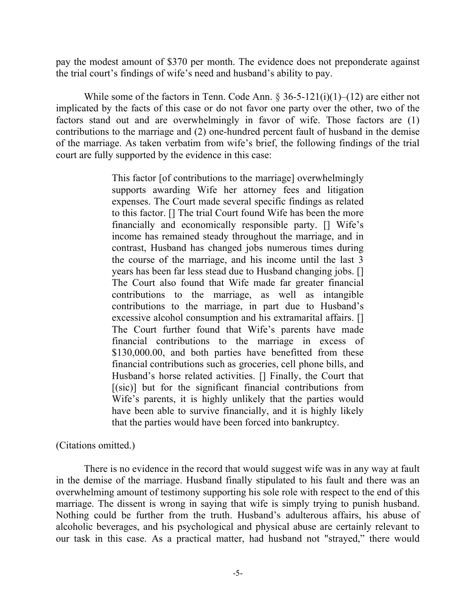pay the modest amount of \$370 per month. The evidence does not preponderate against the trial court's findings of wife's need and husband's ability to pay.

While some of the factors in Tenn. Code Ann.  $\S 36-5-121(i)(1)-(12)$  are either not implicated by the facts of this case or do not favor one party over the other, two of the factors stand out and are overwhelmingly in favor of wife. Those factors are (1) contributions to the marriage and (2) one-hundred percent fault of husband in the demise of the marriage. As taken verbatim from wife's brief, the following findings of the trial court are fully supported by the evidence in this case:

> This factor [of contributions to the marriage] overwhelmingly supports awarding Wife her attorney fees and litigation expenses. The Court made several specific findings as related to this factor. [] The trial Court found Wife has been the more financially and economically responsible party. [] Wife's income has remained steady throughout the marriage, and in contrast, Husband has changed jobs numerous times during the course of the marriage, and his income until the last 3 years has been far less stead due to Husband changing jobs. [] The Court also found that Wife made far greater financial contributions to the marriage, as well as intangible contributions to the marriage, in part due to Husband's excessive alcohol consumption and his extramarital affairs. [] The Court further found that Wife's parents have made financial contributions to the marriage in excess of \$130,000.00, and both parties have benefitted from these financial contributions such as groceries, cell phone bills, and Husband's horse related activities. [] Finally, the Court that  $[(\text{sic})]$  but for the significant financial contributions from Wife's parents, it is highly unlikely that the parties would have been able to survive financially, and it is highly likely that the parties would have been forced into bankruptcy.

### (Citations omitted.)

There is no evidence in the record that would suggest wife was in any way at fault in the demise of the marriage. Husband finally stipulated to his fault and there was an overwhelming amount of testimony supporting his sole role with respect to the end of this marriage. The dissent is wrong in saying that wife is simply trying to punish husband. Nothing could be further from the truth. Husband's adulterous affairs, his abuse of alcoholic beverages, and his psychological and physical abuse are certainly relevant to our task in this case. As a practical matter, had husband not "strayed," there would